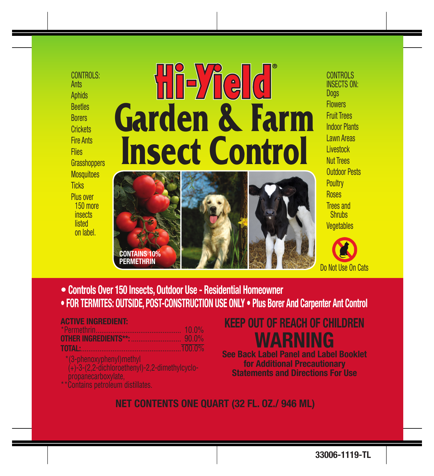CONTROLS: Ants Aphids Beetles Borers **Crickets** Fire Ants **Flies Grasshoppers Mosquitoes Ticks** Plus over 150 more insects **listed** on label.

## **Hi-Yield Garden & Farm Insect Control**





CONTROLS INSECTS ON: Dog<sub>s</sub> Flowers Fruit Trees Indoor Plants Lawn Areas Livestock Nut Trees Outdoor Pests **Poultry** Roses Trees and **Shrubs Vegetables** 



• Controls Over 150 Insects, Outdoor Use - Residential Homeowner • FOR TERMITES: OUTSIDE, POST-CONSTRUCTION USE ONLY • Plus Borer And Carpenter Ant Control

#### ACTIVE INGREDIENT:

|                    | - 10.076 |
|--------------------|----------|
|                    |          |
| <b>TOTAL:</b> 0.0% |          |

- 
- 
- 

### KEEP OUT OF REACH OF CHILDREN WARNING

See Back Label Panel and Label Booklet for Additional Precautionary Statements and Directions For Use

NET CONTENTS ONE QUART (32 FL. OZ./ 946 ML)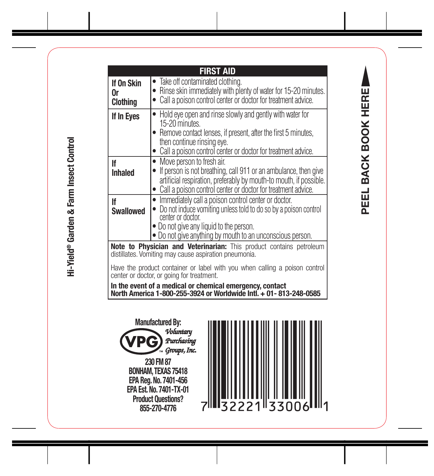| <b>FIRST AID</b>                                                                                                             |                                                                                                                                                                                                                                                         |  |  |
|------------------------------------------------------------------------------------------------------------------------------|---------------------------------------------------------------------------------------------------------------------------------------------------------------------------------------------------------------------------------------------------------|--|--|
| If On Skin<br>0r<br><b>Clothing</b>                                                                                          | • Take off contaminated clothing.<br>• Rinse skin immediately with plenty of water for 15-20 minutes.<br>• Call a poison control center or doctor for treatment advice.                                                                                 |  |  |
| If In Eyes                                                                                                                   | • Hold eye open and rinse slowly and gently with water for<br>15-20 minutes.<br>• Remove contact lenses, if present, after the first 5 minutes,<br>then continue rinsing eye.<br>Call a poison control center or doctor for treatment advice.           |  |  |
| lf<br><b>Inhaled</b>                                                                                                         | • Move person to fresh air.<br>• If person is not breathing, call 911 or an ambulance, then give<br>artificial respiration, preferably by mouth-to mouth, if possible.<br>• Call a poison control center or doctor for treatment advice.                |  |  |
| If<br>Swallowed                                                                                                              | • Immediately call a poison control center or doctor.<br>• Do not induce vomiting unless told to do so by a poison control<br>center or doctor.<br>• Do not give any liquid to the person.<br>• Do not give anything by mouth to an unconscious person. |  |  |
| Note to Physician and Veterinarian: This product contains petroleum<br>distillates. Vomiting may cause aspiration pneumonia. |                                                                                                                                                                                                                                                         |  |  |
| Have the product container or label with you when calling a poison control<br>center or doctor, or going for treatment.      |                                                                                                                                                                                                                                                         |  |  |

In the event of a medical or chemical emergency, contact North America 1-800-255-3924 or Worldwide Intl. + 01- 813-248-0585



# 7 32221 33006 11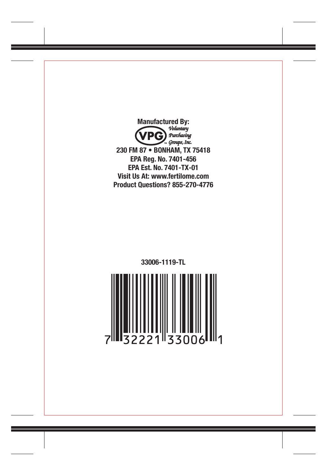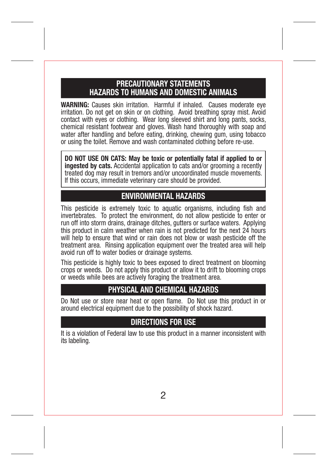#### PRECAUTIONARY STATEMENTS HAZARDS TO HUMANS AND DOMESTIC ANIMALS

WARNING: Causes skin irritation. Harmful if inhaled. Causes moderate eye irritation. Do not get on skin or on clothing. Avoid breathing spray mist. Avoid contact with eyes or clothing. Wear long sleeved shirt and long pants, socks, chemical resistant footwear and gloves. Wash hand thoroughly with soap and water after handling and before eating, drinking, chewing gum, using tobacco or using the toilet. Remove and wash contaminated clothing before re-use.

DO NOT USE ON CATS: May be toxic or potentially fatal if applied to or ingested by cats. Accidental application to cats and/or grooming a recently treated dog may result in tremors and/or uncoordinated muscle movements. If this occurs, immediate veterinary care should be provided.

#### ENVIRONMENTAL HAZARDS

This pesticide is extremely toxic to aquatic organisms, including fish and invertebrates. To protect the environment, do not allow pesticide to enter or run off into storm drains, drainage ditches, gutters or surface waters. Applying this product in calm weather when rain is not predicted for the next 24 hours will help to ensure that wind or rain does not blow or wash pesticide off the treatment area. Rinsing application equipment over the treated area will help avoid run off to water bodies or drainage systems.

This pesticide is highly toxic to bees exposed to direct treatment on blooming crops or weeds. Do not apply this product or allow it to drift to blooming crops or weeds while bees are actively foraging the treatment area.

#### PHYSICAL AND CHEMICAL HAZARDS

Do Not use or store near heat or open flame. Do Not use this product in or around electrical equipment due to the possibility of shock hazard.

#### DIRECTIONS FOR USE

It is a violation of Federal law to use this product in a manner inconsistent with its labeling.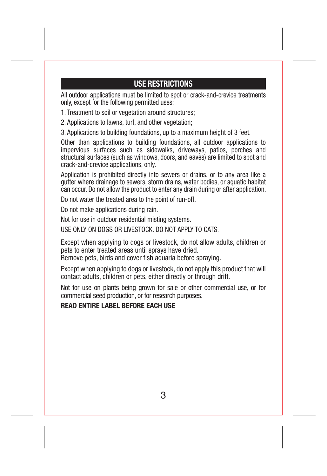#### USE RESTRICTIONS

All outdoor applications must be limited to spot or crack-and-crevice treatments only, except for the following permitted uses:

1. Treatment to soil or vegetation around structures;

2. Applications to lawns, turf, and other vegetation:

3. Applications to building foundations, up to a maximum height of 3 feet.

Other than applications to building foundations, all outdoor applications to impervious surfaces such as sidewalks, driveways, patios, porches and structural surfaces (such as windows, doors, and eaves) are limited to spot and crack-and-crevice applications, only.

Application is prohibited directly into sewers or drains, or to any area like a gutter where drainage to sewers, storm drains, water bodies, or aquatic habitat can occur. Do not allow the product to enter any drain during or after application.

Do not water the treated area to the point of run-off.

Do not make applications during rain.

Not for use in outdoor residential misting systems.

USE ONLY ON DOGS OR LIVESTOCK. DO NOT APPLY TO CATS.

Except when applying to dogs or livestock, do not allow adults, children or pets to enter treated areas until sprays have dried. Remove pets, birds and cover fish aquaria before spraying.

Except when applying to dogs or livestock, do not apply this product that will contact adults, children or pets, either directly or through drift.

Not for use on plants being grown for sale or other commercial use, or for commercial seed production, or for research purposes.

#### READ ENTIRE LABEL BEFORE EACH USE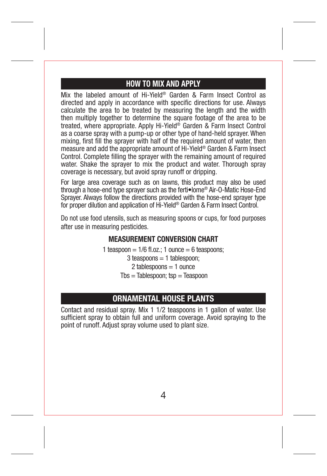#### HOW TO MIX AND APPLY

Mix the labeled amount of Hi-Yield® Garden & Farm Insect Control as directed and apply in accordance with specific directions for use. Always calculate the area to be treated by measuring the length and the width then multiply together to determine the square footage of the area to be treated, where appropriate. Apply Hi-Yield® Garden & Farm Insect Control as a coarse spray with a pump-up or other type of hand-held sprayer. When mixing, first fill the sprayer with half of the required amount of water, then measure and add the appropriate amount of Hi-Yield® Garden & Farm Insect Control. Complete filling the sprayer with the remaining amount of required water. Shake the sprayer to mix the product and water. Thorough spray coverage is necessary, but avoid spray runoff or dripping.

For large area coverage such as on lawns, this product may also be used through a hose-end type sprayer such as the ferti•lome® Air-O-Matic Hose-End Sprayer. Always follow the directions provided with the hose-end sprayer type for proper dilution and application of Hi-Yield® Garden & Farm Insect Control.

Do not use food utensils, such as measuring spoons or cups, for food purposes after use in measuring pesticides.

#### MEASUREMENT CONVERSION CHART

1 teaspoon =  $1/6$  fl.oz.; 1 ounce = 6 teaspoons;

3 teaspoons = 1 tablespoon; 2 tablespoons = 1 ounce  $Tbs = Table$ spoon:  $tsp = Tensor$ 

#### ORNAMENTAL HOUSE PLANTS

Contact and residual spray. Mix 1 1/2 teaspoons in 1 gallon of water. Use sufficient spray to obtain full and uniform coverage. Avoid spraying to the point of runoff. Adjust spray volume used to plant size.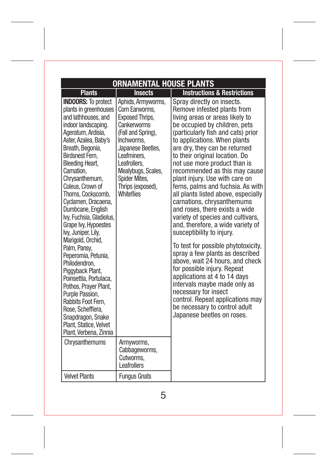| <b>ORNAMENTAL HOUSE PLANTS</b>                                                                                                                                                                                                                                                                                                                                                                                                                                                                                                                                                                                                                                                                        |                                                                                                                                                                                                                                                        |                                                                                                                                                                                                                                                                                                                                                                                                                                                                                                                                                                                                                                                                                                                                                                                                                                                                                                                                                                     |  |  |
|-------------------------------------------------------------------------------------------------------------------------------------------------------------------------------------------------------------------------------------------------------------------------------------------------------------------------------------------------------------------------------------------------------------------------------------------------------------------------------------------------------------------------------------------------------------------------------------------------------------------------------------------------------------------------------------------------------|--------------------------------------------------------------------------------------------------------------------------------------------------------------------------------------------------------------------------------------------------------|---------------------------------------------------------------------------------------------------------------------------------------------------------------------------------------------------------------------------------------------------------------------------------------------------------------------------------------------------------------------------------------------------------------------------------------------------------------------------------------------------------------------------------------------------------------------------------------------------------------------------------------------------------------------------------------------------------------------------------------------------------------------------------------------------------------------------------------------------------------------------------------------------------------------------------------------------------------------|--|--|
| <b>Plants</b>                                                                                                                                                                                                                                                                                                                                                                                                                                                                                                                                                                                                                                                                                         | <b>Insects</b>                                                                                                                                                                                                                                         | <b>Instructions &amp; Restrictions</b>                                                                                                                                                                                                                                                                                                                                                                                                                                                                                                                                                                                                                                                                                                                                                                                                                                                                                                                              |  |  |
| <b>INDOORS:</b> To protect<br>plants in greenhouses<br>and lathhouses, and<br>indoor landscaping.<br>Ageratum, Ardisia.<br>Aster, Azalea, Baby's<br>Breath, Begonia,<br>Birdsnest Fern.<br>Bleeding Heart.<br>Carnation.<br>Chrysanthemum.<br>Coleus. Crown of<br>Thorns. Cockscomb.<br>Cyclamen, Dracaena,<br>Dumbcane, English<br>Iw. Fuchsia, Gladiolus.<br>Grape Ivv. Hypoestes<br>Ivv. Juniper. Lilv.<br>Marigold, Orchid,<br>Palm. Pansv.<br>Peperomia, Petunia,<br>Philodendron.<br>Piggyback Plant.<br>Poinsettia, Portulaca,<br>Pothos, Prayer Plant,<br>Purple Passion.<br>Rabbits Foot Fern.<br>Rose, Schefflera.<br>Snapdragon, Snake<br>Plant. Statice. Velvet<br>Plant, Verbena, Zinnia | Aphids. Armyworms.<br>Corn Earworms.<br><b>Exposed Thrips.</b><br>Cankerworms<br>(Fall and Spring).<br>Inchworms.<br>Japanese Beetles.<br>Leafminers.<br>Leafrollers.<br>Mealybugs, Scales.<br>Spider Mites.<br>Thrips (exposed),<br><b>Whiteflies</b> | Spray directly on insects.<br>Remove infested plants from<br>living areas or areas likely to<br>be occupied by children, pets<br>(particularly fish and cats) prior<br>to applications. When plants<br>are dry, they can be returned<br>to their original location. Do<br>not use more product than is<br>recommended as this may cause<br>plant iniury. Use with care on<br>ferns, palms and fuchsia. As with<br>all plants listed above, especially<br>carnations, chrysanthemums<br>and roses, there exists a wide<br>variety of species and cultivars.<br>and, therefore, a wide variety of<br>susceptibility to injury.<br>To test for possible phytotoxicity,<br>spray a few plants as described<br>above, wait 24 hours, and check<br>for possible iniury. Repeat<br>applications at 4 to 14 days<br>intervals maybe made only as<br>necessary for insect<br>control. Repeat applications may<br>be necessary to control adult<br>Japanese beetles on roses. |  |  |
| Chrysanthemums                                                                                                                                                                                                                                                                                                                                                                                                                                                                                                                                                                                                                                                                                        | Armvworms.<br>Cabbageworms,<br>Cutworms.<br><b>Leafrollers</b>                                                                                                                                                                                         |                                                                                                                                                                                                                                                                                                                                                                                                                                                                                                                                                                                                                                                                                                                                                                                                                                                                                                                                                                     |  |  |
| <b>Velvet Plants</b>                                                                                                                                                                                                                                                                                                                                                                                                                                                                                                                                                                                                                                                                                  |                                                                                                                                                                                                                                                        |                                                                                                                                                                                                                                                                                                                                                                                                                                                                                                                                                                                                                                                                                                                                                                                                                                                                                                                                                                     |  |  |
|                                                                                                                                                                                                                                                                                                                                                                                                                                                                                                                                                                                                                                                                                                       | <b>Fungus Gnats</b>                                                                                                                                                                                                                                    |                                                                                                                                                                                                                                                                                                                                                                                                                                                                                                                                                                                                                                                                                                                                                                                                                                                                                                                                                                     |  |  |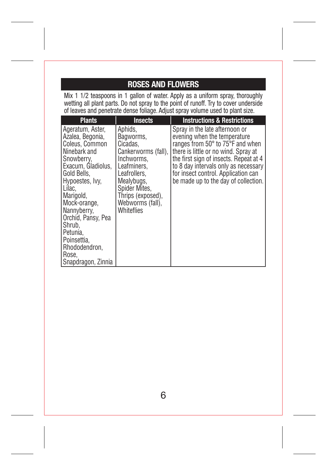#### ROSES AND FLOWERS

Mix 1 1/2 teaspoons in 1 gallon of water. Apply as a uniform spray, thoroughly<br>wetting all plant parts. Do not spray to the point of runoff. Try to cover underside<br>of leaves and penetrate dense foliage. Adjust spray volume

| <b>Plants</b>                                                                                                                                                                                                                                                                                                   | <b>Insects</b>                                                                                                                                                                             | <b>Instructions &amp; Restrictions</b>                                                                                                                                                                                                                                                                      |
|-----------------------------------------------------------------------------------------------------------------------------------------------------------------------------------------------------------------------------------------------------------------------------------------------------------------|--------------------------------------------------------------------------------------------------------------------------------------------------------------------------------------------|-------------------------------------------------------------------------------------------------------------------------------------------------------------------------------------------------------------------------------------------------------------------------------------------------------------|
| Ageratum, Aster.<br>Azalea, Begonia,<br>Coleus, Common<br>Ninebark and<br>Snowberry.<br>Exacum, Gladiolus,<br>Gold Bells.<br>Hypoestes, Ivy,<br>Lilac.<br>Marigold,<br>Mock-orange.<br>Nannyberry.<br>Orchid, Pansy, Pea<br>Shrub.<br>Petunia,<br>l Poinsettia.<br>Rhododendron,<br>Rose,<br>Snapdragon, Zinnia | Aphids.<br>Bagworms.<br>Cicadas.<br>Cankerworms (fall),<br>Inchworms,<br>Leafminers.<br>Leafrollers.<br>Mealvbugs.<br>Spider Mites.<br>Thrips (exposed),<br>Webworms (fall),<br>Whiteflies | Spray in the late afternoon or<br>evening when the temperature<br>ranges from 50° to 75°F and when<br>there is little or no wind. Spray at<br>the first sign of insects. Repeat at 4<br>to 8 day intervals only as necessary<br>for insect control. Application can<br>be made up to the day of collection. |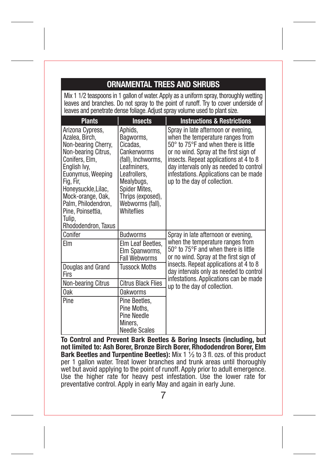#### ORNAMENTAL TREES AND SHRUBS

Mix 1 1/2 teaspoons in 1 gallon of water. Apply as a uniform spray, thoroughly wetting leaves and branches. Do not spray to the point of runoff. Try to cover underside of leaves and penetrate dense foliage. Adjust spray volume used to plant size.

| <b>Plants</b>                                                                                                                                                                                                                                                                 | <b>Insects</b>                                                                                                                                                                             | <b>Instructions &amp; Restrictions</b>                                                                                                                                                                                                                                                                                   |
|-------------------------------------------------------------------------------------------------------------------------------------------------------------------------------------------------------------------------------------------------------------------------------|--------------------------------------------------------------------------------------------------------------------------------------------------------------------------------------------|--------------------------------------------------------------------------------------------------------------------------------------------------------------------------------------------------------------------------------------------------------------------------------------------------------------------------|
| Arizona Cypress,<br>Azalea, Birch,<br>Non-bearing Cherry,<br>Non-bearing Citrus,<br>Conifers, Elm,<br>English Ivy,<br>Euonymus, Weeping<br>Fig. Fir.<br>Honeysuckle, Lilac,<br>Mock-orange, Oak,<br>Palm, Philodendron,<br>Pine. Poinsettia.<br>Tulip,<br>Rhododendron, Taxus | Aphids.<br>Bagworms,<br>Cicadas.<br>Cankerworms<br>(fall), Inchworms,<br>Leafminers.<br>Leafrollers,<br>Mealvbugs.<br>Spider Mites,<br>Thrips (exposed),<br>Webworms (fall),<br>Whiteflies | Spray in late afternoon or evening,<br>when the temperature ranges from<br>50° to 75°F and when there is little<br>or no wind. Spray at the first sign of<br>insects. Repeat applications at 4 to 8<br>day intervals only as needed to control<br>infestations. Applications can be made<br>up to the day of collection. |
| Conifer                                                                                                                                                                                                                                                                       | <b>Budworms</b>                                                                                                                                                                            | Spray in late afternoon or evening,                                                                                                                                                                                                                                                                                      |
| Elm                                                                                                                                                                                                                                                                           | Elm Leaf Beetles.<br>Elm Spanworms,<br><b>Fall Webworms</b>                                                                                                                                | when the temperature ranges from<br>50° to 75°F and when there is little<br>or no wind. Spray at the first sign of                                                                                                                                                                                                       |
| Douglas and Grand<br>Firs                                                                                                                                                                                                                                                     | <b>Tussock Moths</b>                                                                                                                                                                       | insects. Repeat applications at 4 to 8<br>day intervals only as needed to control<br>infestations. Applications can be made                                                                                                                                                                                              |
| Non-bearing Citrus                                                                                                                                                                                                                                                            | <b>Citrus Black Flies</b>                                                                                                                                                                  | up to the day of collection.                                                                                                                                                                                                                                                                                             |
| 0ak                                                                                                                                                                                                                                                                           | Oakworms                                                                                                                                                                                   |                                                                                                                                                                                                                                                                                                                          |
| Pine                                                                                                                                                                                                                                                                          | Pine Beetles.<br>Pine Moths,<br>Pine Needle<br>Miners,<br><b>Needle Scales</b>                                                                                                             |                                                                                                                                                                                                                                                                                                                          |

To Control and Prevent Bark Beetles & Boring Insects (including, but not limited to: Ash Borer, Bronze Birch Borer, Rhododendron Borer, Elm Bark Beetles and Turpentine Beetles): Mix 1  $\frac{1}{2}$  to 3 fl. ozs. of this product per 1 gallon water. Treat lower branches and trunk areas until thoroughly wet but avoid applying to the point of runoff. Apply prior to adult emergence. Use the higher rate for heavy pest infestation. Use the lower rate for preventative control. Apply in early May and again in early June.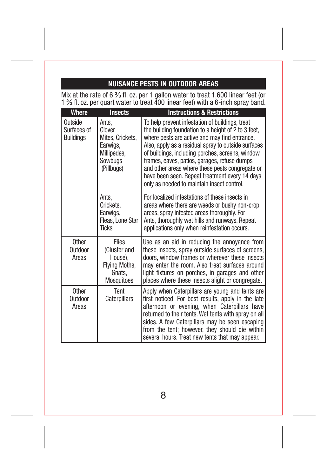#### NUISANCE PESTS IN OUTDOOR AREAS

Mix at the rate of 6 ⅔ fl. oz. per 1 gallon water to treat 1,600 linear feet (or 1 ⅔ fl. oz. per quart water to treat 400 linear feet) with a 6-inch spray band.

| Where                                      | <b>Insects</b>                                                                          | <b>Instructions &amp; Restrictions</b>                                                                                                                                                                                                                                                                                                                                                                                                                                |
|--------------------------------------------|-----------------------------------------------------------------------------------------|-----------------------------------------------------------------------------------------------------------------------------------------------------------------------------------------------------------------------------------------------------------------------------------------------------------------------------------------------------------------------------------------------------------------------------------------------------------------------|
| Outside<br>Surfaces of<br><b>Buildings</b> | Ants.<br>Clover<br>Mites, Crickets,<br>Earwigs.<br>Millipedes,<br>Sowbuas<br>(Pillbugs) | To help prevent infestation of buildings, treat<br>the building foundation to a height of 2 to 3 feet,<br>where pests are active and may find entrance.<br>Also, apply as a residual spray to outside surfaces<br>of buildings, including porches, screens, window<br>frames, eaves, patios, garages, refuse dumps<br>and other areas where these pests congregate or<br>have been seen. Repeat treatment every 14 days<br>only as needed to maintain insect control. |
|                                            | Ants.<br>Crickets.<br>Earwigs.<br>Fleas, Lone Star<br><b>Ticks</b>                      | For localized infestations of these insects in<br>areas where there are weeds or bushy non-crop<br>areas, spray infested areas thoroughly. For<br>Ants, thoroughly wet hills and runways. Repeat<br>applications only when reinfestation occurs.                                                                                                                                                                                                                      |
| Other<br>Outdoor<br>Areas                  | <b>Flies</b><br>(Cluster and<br>House).<br>Flying Moths,<br>Gnats.<br>Mosquitoes        | Use as an aid in reducing the annoyance from<br>these insects, spray outside surfaces of screens,<br>doors, window frames or wherever these insects<br>may enter the room. Also treat surfaces around<br>light fixtures on porches, in garages and other<br>places where these insects alight or congregate.                                                                                                                                                          |
| Other<br>Outdoor<br>Areas                  | Tent<br>Caterpillars                                                                    | Apply when Caterpillars are young and tents are<br>first noticed. For best results, apply in the late<br>afternoon or evening, when Caterpillars have<br>returned to their tents. Wet tents with spray on all<br>sides. A few Caterpillars may be seen escaping<br>from the tent; however, they should die within<br>several hours. Treat new tents that may appear.                                                                                                  |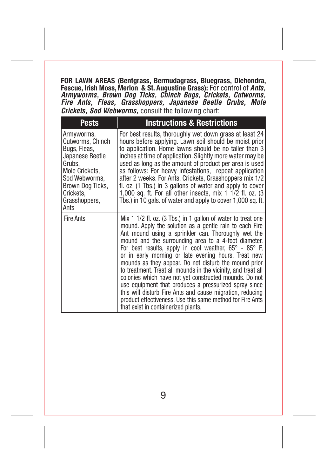FOR LAWN AREAS (Bentgrass, Bermudagrass, Bluegrass, Dichondra,<br>Fescue, Irish Moss, Merlon & St. Augustine Grass): For control of *Ants,<br>Armyworms, Brown Dog Ticks, Chinch Bugs, Crickets, Cutworms,<br>Fire Ants, Fleas, Grassho Crickets, Sod Webworms,* consult the following chart:

| <b>Pests</b>                                                                                                                                                             | <b>Instructions &amp; Restrictions</b>                                                                                                                                                                                                                                                                                                                                                                                                                                                                                                                                                                                                                                                                                                                                |
|--------------------------------------------------------------------------------------------------------------------------------------------------------------------------|-----------------------------------------------------------------------------------------------------------------------------------------------------------------------------------------------------------------------------------------------------------------------------------------------------------------------------------------------------------------------------------------------------------------------------------------------------------------------------------------------------------------------------------------------------------------------------------------------------------------------------------------------------------------------------------------------------------------------------------------------------------------------|
| Armyworms,<br>Cutworms, Chinch<br>Bugs, Fleas.<br>Japanese Beetle<br>Grubs.<br>Mole Crickets.<br>Sod Webworms.<br>Brown Dog Ticks,<br>Crickets.<br>Grasshoppers,<br>Ants | For best results, thoroughly wet down grass at least 24<br>hours before applying. Lawn soil should be moist prior<br>to application. Home lawns should be no taller than 3<br>inches at time of application. Slightly more water may be<br>used as long as the amount of product per area is used<br>as follows: For heavy infestations, repeat application<br>after 2 weeks. For Ants, Crickets, Grasshoppers mix 1/2<br>fl. oz. (1 Tbs.) in 3 gallons of water and apply to cover<br>1,000 sq. ft. For all other insects, mix 1 1/2 fl. oz. (3<br>Tbs.) in 10 gals, of water and apply to cover 1,000 sq. ft.                                                                                                                                                       |
| <b>Fire Ants</b>                                                                                                                                                         | Mix 1 1/2 fl. oz. (3 Tbs.) in 1 gallon of water to treat one<br>mound. Apply the solution as a gentle rain to each Fire<br>Ant mound using a sprinkler can. Thoroughly wet the<br>mound and the surrounding area to a 4-foot diameter.<br>For best results, apply in cool weather, 65° - 85° F,<br>or in early morning or late evening hours. Treat new<br>mounds as they appear. Do not disturb the mound prior<br>to treatment. Treat all mounds in the vicinity, and treat all<br>colonies which have not yet constructed mounds. Do not<br>use equipment that produces a pressurized spray since<br>this will disturb Fire Ants and cause migration, reducing<br>product effectiveness. Use this same method for Fire Ants<br>that exist in containerized plants. |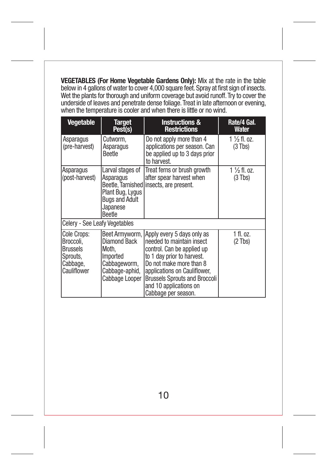**VEGETABLES (For Home Vegetable Gardens Only):** Mix at the rate in the table<br>below in 4 gallons of water to cover 4,000 square feet. Spray at first sign of ineacts.<br>Wet the plants for thorough and uniform coverage but avoi

| Vegetable                                                                          | Target<br>Pest(s)                                                                                       | <b>Instructions &amp;</b><br><b>Restrictions</b>                                                                                                                                                                                                                        | Rate/4 Gal.<br>Water                 |
|------------------------------------------------------------------------------------|---------------------------------------------------------------------------------------------------------|-------------------------------------------------------------------------------------------------------------------------------------------------------------------------------------------------------------------------------------------------------------------------|--------------------------------------|
| Asparagus<br>(pre-harvest)                                                         | Cutworm.<br>Asparagus<br><b>Beetle</b>                                                                  | Do not apply more than 4<br>applications per season. Can<br>be applied up to 3 days prior<br>to harvest.                                                                                                                                                                | $1\frac{1}{2}$ fl. oz.<br>$(3)$ Tbs) |
| Asparagus<br>(post-harvest)                                                        | Larval stages of<br>Asparagus<br>Plant Bug, Lygus<br><b>Buas and Adult</b><br>Japanese<br><b>Beetle</b> | Treat ferns or brush growth<br>after spear harvest when<br>Beetle, Tarnished insects, are present.                                                                                                                                                                      | 1 ½ fl. oz.<br>$(3)$ Tbs)            |
| Celery - See Leafy Vegetables                                                      |                                                                                                         |                                                                                                                                                                                                                                                                         |                                      |
| Cole Crops:<br>Broccoli.<br><b>Brussels</b><br>Sprouts.<br>Cabbage.<br>Cauliflower | Beet Armyworm,<br>Diamond Back<br>Moth.<br>Imported<br>Cabbageworm,<br>Cabbage-aphid.<br>Cabbage Looper | Apply every 5 days only as<br>needed to maintain insect<br>control. Can be applied up<br>to 1 day prior to harvest.<br>Do not make more than 8<br>applications on Cauliflower.<br><b>Brussels Sprouts and Broccoli</b><br>and 10 applications on<br>Cabbage per season. | $1$ fl. oz.<br>$(2)$ Tbs)            |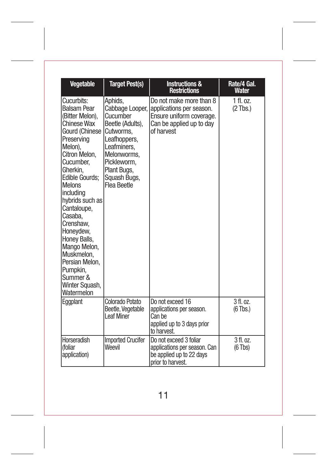| Vegetable                                                                                                                                                                                                                                                                                                                                                                                               | <b>Target Pest(s)</b>                                                                                                                                                              | <b>Instructions &amp;</b><br><b>Restrictions</b>                                                                          | Rate/4 Gal.<br>Water       |
|---------------------------------------------------------------------------------------------------------------------------------------------------------------------------------------------------------------------------------------------------------------------------------------------------------------------------------------------------------------------------------------------------------|------------------------------------------------------------------------------------------------------------------------------------------------------------------------------------|---------------------------------------------------------------------------------------------------------------------------|----------------------------|
| Cucurbits:<br><b>Balsam Pear</b><br>(Bitter Melon).<br>Chinese Wax<br>Gourd (Chinese<br>Preserving<br>Melon).<br>Citron Melon.<br>Cucumber.<br>Gherkin.<br><b>Edible Gourds:</b><br>Melons<br>lincludina<br>hybrids such as<br>Cantaloupe.<br>Casaba.<br>Crenshaw.<br>Honeydew,<br>Honey Balls.<br>Mango Melon.<br>Muskmelon.<br>Persian Melon.<br>Pumpkin.<br>Summer &<br>Winter Squash,<br>Watermelon | Aphids.<br>Cabbage Looper,<br>Cucumber<br>Beetle (Adults).<br>Cutworms,<br>Leafhoppers,<br>Leafminers.<br>Melonworms,<br>Pickleworm,<br>Plant Bugs.<br>Squash Bugs.<br>Flea Reetle | Do not make more than 8<br>applications per season.<br>Ensure uniform coverage.<br>Can be applied up to day<br>of harvest | $1$ fl. oz.<br>$(2)$ Tbs.) |
| Eqqplant                                                                                                                                                                                                                                                                                                                                                                                                | Colorado Potato<br>Beetle, Vegetable<br>I eaf Miner                                                                                                                                | Do not exceed 16<br>applications per season.<br>Can be<br>applied up to 3 days prior<br>to harvest.                       | 3 fl. oz.<br>$(6$ Tbs.)    |
| Horseradish<br>(foliar<br>application)                                                                                                                                                                                                                                                                                                                                                                  | <b>Imported Crucifer</b><br>Weevil                                                                                                                                                 | Do not exceed 3 foliar<br>applications per season. Can<br>be applied up to 22 days<br>prior to harvest.                   | 3 fl. oz.<br>$(6$ Tbs)     |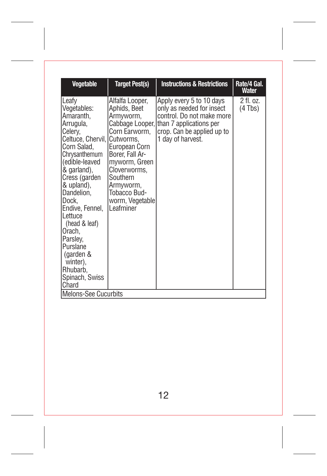| Vegetable                                                                                                                                                                                                                                                                                                                                               | <b>Target Pest(s)</b>                                                                                                                                                                                                     | <b>Instructions &amp; Restrictions</b>                                                                                                                                           | Rate/4 Gal.                     |  |
|---------------------------------------------------------------------------------------------------------------------------------------------------------------------------------------------------------------------------------------------------------------------------------------------------------------------------------------------------------|---------------------------------------------------------------------------------------------------------------------------------------------------------------------------------------------------------------------------|----------------------------------------------------------------------------------------------------------------------------------------------------------------------------------|---------------------------------|--|
| Leafy<br>Vegetables:<br>Amaranth.<br>Arrugula.<br>Celerv.<br>Celtuce, Chervil,<br>Corn Salad.<br>Chrysanthemum<br>(edible-leaved<br>& garland),<br>Cress (garden<br>& upland),<br>Dandelion,<br>Dock.<br>Endive, Fennel,<br>Lettuce<br>(head & leaf)<br>Orach.<br>Parslev.<br>Purslane<br>(garden &<br>winter).<br>Rhubarb.<br>Spinach, Swiss<br>lChard | Alfalfa Looper,<br>Aphids, Beet<br>Armvworm.<br>Corn Earworm.<br>Cutworms,<br>European Corn<br>Borer, Fall Ar-<br>myworm, Green<br>Cloverworms,<br>Southern<br>Armyworm,<br>Tobacco Bud-<br>worm, Vegetable<br>I eafminer | Apply every 5 to 10 days<br>only as needed for insect<br>control. Do not make more<br>Cabbage Looper, than 7 applications per<br>crop. Can be applied up to<br>1 day of harvest. | Water<br>2 fl. oz.<br>$(4$ Tbs) |  |
|                                                                                                                                                                                                                                                                                                                                                         | Melons-See Cucurbits                                                                                                                                                                                                      |                                                                                                                                                                                  |                                 |  |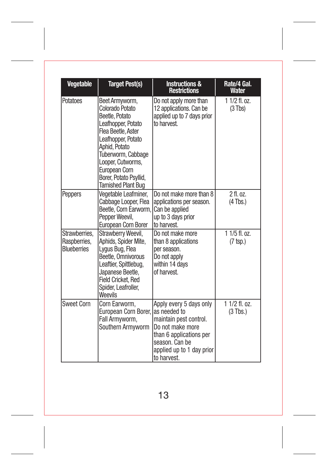| Vegetable                                           | <b>Target Pest(s)</b>                                                                                                                                                                                                                                      | <b>Instructions &amp;</b><br><b>Restrictions</b>                                                                                                               | Rate/4 Gal.<br>Water            |
|-----------------------------------------------------|------------------------------------------------------------------------------------------------------------------------------------------------------------------------------------------------------------------------------------------------------------|----------------------------------------------------------------------------------------------------------------------------------------------------------------|---------------------------------|
| <b>Potatoes</b>                                     | Beet Armvworm.<br>Colorado Potato<br>Beetle, Potato<br>Leafhopper, Potato<br>Flea Beetle, Aster<br>Leafhopper, Potato<br>Aphid. Potato<br>Tuberworm, Cabbage<br>Looper. Cutworms.<br>European Corn<br>Borer, Potato Psyllid,<br><b>Tarnished Plant Bug</b> | Do not apply more than<br>12 applications, Can be<br>applied up to 7 days prior<br>to harvest                                                                  | $11/2$ fl. oz.<br>$(3)$ Tbs)    |
| Peppers                                             | Vegetable Leafminer.<br>Cabbage Looper, Flea<br>Beetle, Corn Earworm.<br>Pepper Weevil.<br>European Corn Borer                                                                                                                                             | Do not make more than 8<br>applications per season.<br>Can be applied<br>up to 3 days prior<br>to harvest.                                                     | $2$ fl $0z$<br>$(4$ Tbs.)       |
| Strawberries.<br>Rasoberries.<br><b>Rlueberries</b> | Strawberry Weevil.<br>Aphids, Spider Mite.<br>Lygus Bug, Flea<br>Beetle, Omnivorous<br>Leaftier. Spittlebug.<br>Japanese Beetle.<br>Field Cricket, Red<br>Spider, Leafroller,<br>Weevils                                                                   | Do not make more<br>than 8 applications<br>per season.<br>Do not apply<br>within 14 davs<br>of harvest                                                         | $11/5$ fl. oz.<br>(7 tsp.)      |
| Sweet Corn                                          | Corn Earworm.<br>European Corn Borer, as needed to<br>Fall Armvworm.<br>Southern Armvworm                                                                                                                                                                  | Apply every 5 days only<br>maintain pest control.<br>Do not make more<br>than 6 applications per<br>season. Can be<br>applied up to 1 day prior<br>to harvest. | $11/2$ fl. $0z$ .<br>$(3$ Tbs.) |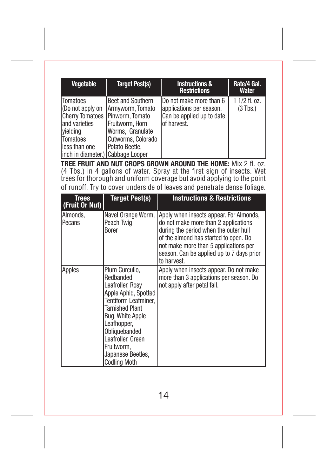| Vegetable                                                                                                               | <b>Target Pest(s)</b>                                                                                                                                                                                                                                        | <b>Instructions &amp;</b><br><b>Restrictions</b>                                                                                                                                                                                                                       | Rate/4 Gal.<br>Water          |
|-------------------------------------------------------------------------------------------------------------------------|--------------------------------------------------------------------------------------------------------------------------------------------------------------------------------------------------------------------------------------------------------------|------------------------------------------------------------------------------------------------------------------------------------------------------------------------------------------------------------------------------------------------------------------------|-------------------------------|
| Tomatoes<br>(Do not apply on<br><b>Cherry Tomatoes</b><br>and varieties<br><i>vieldina</i><br>Tomatoes<br>less than one | <b>Beet and Southern</b><br>Armyworm, Tomato<br>Pinworm. Tomato<br>Fruitworm, Horn<br>Worms, Granulate<br>Cutworms, Colorado<br>Potato Beetle.<br>inch in diameter.) Cabbage Looper                                                                          | Do not make more than 6<br>applications per season.<br>Can be applied up to date<br>of harvest.<br>TREE FRIJIT AND NIJT CROPS GROWN AROUND THE HOME: Mix 2 fl. oz.                                                                                                     | $11/2$ fl. oz.<br>$(3)$ Tbs.) |
|                                                                                                                         |                                                                                                                                                                                                                                                              | (4 Tbs.) in 4 gallons of water. Spray at the first sign of insects. Wet<br>trees for thorough and uniform coverage but avoid applying to the point<br>of runoff. Try to cover underside of leaves and penetrate dense foliage.                                         |                               |
| <b>Trees</b><br>(Fruit Or Nut)                                                                                          | <b>Target Pest(s)</b>                                                                                                                                                                                                                                        | <b>Instructions &amp; Restrictions</b>                                                                                                                                                                                                                                 |                               |
| Almonds.<br>Pecans                                                                                                      | Navel Orange Worm.<br>Peach Twig<br><b>Rorer</b>                                                                                                                                                                                                             | Apply when insects appear. For Almonds,<br>do not make more than 2 applications<br>during the period when the outer hull<br>of the almond has started to open. Do<br>not make more than 5 applications per<br>season. Can be applied up to 7 days prior<br>to harvest. |                               |
| Apples                                                                                                                  | Plum Curculio.<br>Redbanded<br>Leafroller, Rosv<br>Apple Aphid, Spotted<br>Tentiform Leafminer.<br><b>Tarnished Plant</b><br>Bug. White Apple<br>Leafhopper,<br>Obliquebanded<br>Leafroller, Green<br>Fruitworm,<br>Japanese Beetles.<br><b>Codling Moth</b> | Apply when insects appear. Do not make<br>more than 3 applications per season. Do<br>not apply after petal fall.                                                                                                                                                       |                               |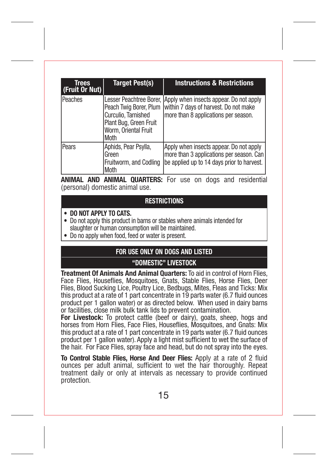| <b>Trees</b><br>(Fruit Or Nut) | <b>Target Pest(s)</b>                                                                                   | <b>Instructions &amp; Restrictions</b>                                                                                                            |
|--------------------------------|---------------------------------------------------------------------------------------------------------|---------------------------------------------------------------------------------------------------------------------------------------------------|
| Peaches                        | Peach Twig Borer, Plum<br>Curculio. Tarnished<br>Plant Bug, Green Fruit<br>Worm, Oriental Fruit<br>Moth | Lesser Peachtree Borer. Apply when insects appear. Do not apply<br>within 7 days of harvest. Do not make<br>Imore than 8 applications per season. |
| Pears                          | Aphids, Pear Psylla.<br>Green<br>Fruitworm, and Codling<br>Moth                                         | Apply when insects appear. Do not apply<br>more than 3 applications per season. Can<br>be applied up to 14 days prior to harvest.                 |

**ANIMAL AND ANIMAL QUARTERS:** For use on dogs and residential (personal) domestic animal use.

#### **RESTRICTIONS**

#### • DO NOT APPLY TO CATS.

- Do not apply this product in barns or stables where animals intended for slaughter or human consumption will be maintained.
- Do no apply when food, feed or water is present.

#### FOR USE ONLY ON DOGS AND LISTED

#### "DOMESTIC" LIVESTOCK

Treatment Of Animals And Animal Quarters: To aid in control of Horn Flies, Face Flies, Houseflies, Mosquitoes, Gnats, Stable Flies, Horse Flies, Deer Flies, Blood Sucking Lice, Poultry Lice, Bedbugs, Mites, Fleas and Ticks: Mix this product at a rate of 1 part concentrate in 19 parts water (6.7 fluid ounces product per 1 gallon water) or as directed below. When used in dairy barns or facilities, close milk bulk tank lids to prevent contamination.

For Livestock: To protect cattle (beef or dairy), goats, sheep, hogs and horses from Horn Flies, Face Flies, Houseflies, Mosquitoes, and Gnats: Mix this product at a rate of 1 part concentrate in 19 parts water (6.7 fluid ounces product per 1 gallon water). Apply a light mist sufficient to wet the surface of the hair. For Face Flies, spray face and head, but do not spray into the eyes.

To Control Stable Flies, Horse And Deer Flies: Apply at a rate of 2 fluid ounces per adult animal, sufficient to wet the hair thoroughly. Repeat treatment daily or only at intervals as necessary to provide continued protection.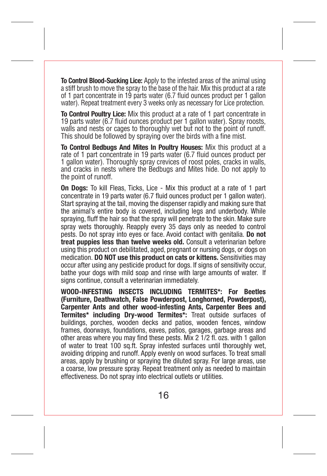To Control Blood-Sucking Lice: Apply to the infested areas of the animal using a stiff brush to move the spray to the base of the hair. Mix this product at a rate of 1 part concentrate in 19 parts water (6.7 fluid ounces product per 1 gallon water). Repeat treatment every 3 weeks only as necessary for Lice protection.

To Control Poultry Lice: Mix this product at a rate of 1 part concentrate in 19 parts water (6.7 fluid ounces product per 1 gallon water). Spray roosts, walls and nests or cages to thoroughly wet but not to the point of runoff. This should be followed by spraying over the birds with a fine mist.

To Control Bedbugs And Mites In Poultry Houses: Mix this product at a rate of 1 part concentrate in 19 parts water (6.7 fluid ounces product per 1 gallon water). Thoroughly spray crevices of roost poles, cracks in walls, and cracks in nests where the Bedbugs and Mites hide. Do not apply to the point of runoff.

On Dogs: To kill Fleas, Ticks, Lice - Mix this product at a rate of 1 part concentrate in 19 parts water (6.7 fluid ounces product per 1 gallon water). Start spraying at the tail, moving the dispenser rapidly and making sure that the animal's entire body is covered, including legs and underbody. While spraying, fluff the hair so that the spray will penetrate to the skin. Make sure spray wets thoroughly. Reapply every 35 days only as needed to control pests. Do not spray into eyes or face. Avoid contact with genitalia. Do not treat puppies less than twelve weeks old. Consult a veterinarian before using this product on debilitated, aged, pregnant or nursing dogs, or dogs on medication. DO NOT use this product on cats or kittens. Sensitivities may occur after using any pesticide product for dogs. If signs of sensitivity occur, bathe your dogs with mild soap and rinse with large amounts of water. If signs continue, consult a veterinarian immediately.

WOOD-INFESTING INSECTS INCLUDING TERMITES\*: For Beetles (Furniture, Deathwatch, False Powderpost, Longhorned, Powderpost), Carpenter Ants and other wood-infesting Ants, Carpenter Bees and Termites\* including Dry-wood Termites\*: Treat outside surfaces of buildings, porches, wooden decks and patios, wooden fences, window frames, doorways, foundations, eaves, patios, garages, garbage areas and other areas where you may find these pests. Mix 2 1/2 fl. ozs. with 1 gallon of water to treat 100 sq.ft. Spray infested surfaces until thoroughly wet, avoiding dripping and runoff. Apply evenly on wood surfaces. To treat small areas, apply by brushing or spraying the diluted spray. For large areas, use a coarse, low pressure spray. Repeat treatment only as needed to maintain effectiveness. Do not spray into electrical outlets or utilities.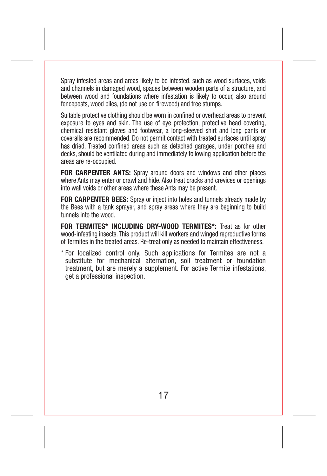Spray infested areas and areas likely to be infested, such as wood surfaces, voids and channels in damaged wood, spaces between wooden parts of a structure, and between wood and foundations where infestation is likely to occur, also around fenceposts, wood piles, (do not use on firewood) and tree stumps.

Suitable protective clothing should be worn in confined or overhead areas to prevent exposure to eyes and skin. The use of eye protection, protective head covering, chemical resistant gloves and footwear, a long-sleeved shirt and long pants or coveralls are recommended. Do not permit contact with treated surfaces until spray has dried. Treated confined areas such as detached garages, under porches and decks, should be ventilated during and immediately following application before the areas are re-occupied.

FOR CARPENTER ANTS: Spray around doors and windows and other places where Ants may enter or crawl and hide. Also treat cracks and crevices or openings into wall voids or other areas where these Ants may be present.

FOR CARPENTER BEES: Spray or inject into holes and tunnels already made by the Bees with a tank sprayer, and spray areas where they are beginning to build tunnels into the wood.

FOR TERMITES\* INCLUDING DRY-WOOD TERMITES\*: Treat as for other wood-infesting insects. This product will kill workers and winged reproductive forms of Termites in the treated areas. Re-treat only as needed to maintain effectiveness.

\* For localized control only. Such applications for Termites are not a substitute for mechanical alternation, soil treatment or foundation treatment, but are merely a supplement. For active Termite infestations, get a professional inspection.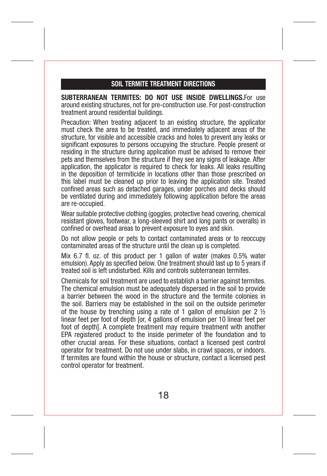#### SOIL TERMITE TREATMENT DIRECTIONS

SUBTERRANEAN TERMITES: DO NOT USE INSIDE DWELLINGS.For use around existing structures, not for pre-construction use. For post-construction treatment around residential buildings.

Precaution: When treating adjacent to an existing structure, the applicator must check the area to be treated, and immediately adjacent areas of the structure, for visible and accessible cracks and holes to prevent any leaks or significant exposures to persons occupying the structure. People present or residing in the structure during application must be advised to remove their pets and themselves from the structure if they see any signs of leakage. After application, the applicator is required to check for leaks. All leaks resulting in the deposition of termiticide in locations other than those prescribed on this label must be cleaned up prior to leaving the application site. Treated confined areas such as detached garages, under porches and decks should be ventilated during and immediately following application before the areas are re-occupied.

Wear suitable protective clothing (goggles, protective head covering, chemical resistant gloves, footwear, a long-sleeved shirt and long pants or overalls) in confined or overhead areas to prevent exposure to eyes and skin.

Do not allow people or pets to contact contaminated areas or to reoccupy contaminated areas of the structure until the clean up is completed.

Mix 6.7 fl. oz. of this product per 1 gallon of water (makes 0.5% water emulsion). Apply as specified below. One treatment should last up to 5 years if treated soil is left undisturbed. Kills and controls subterranean termites.

Chemicals for soil treatment are used to establish a barrier against termites. The chemical emulsion must be adequately dispersed in the soil to provide a barrier between the wood in the structure and the termite colonies in the soil. Barriers may be established in the soil on the outside perimeter of the house by trenching using a rate of 1 gallon of emulsion per 2 ½ linear feet per foot of depth [or, 4 gallons of emulsion per 10 linear feet per foot of depth]. A complete treatment may require treatment with another EPA registered product to the inside perimeter of the foundation and to other crucial areas. For these situations, contact a licensed pest control operator for treatment. Do not use under slabs, in crawl spaces, or indoors. If termites are found within the house or structure, contact a licensed pest control operator for treatment.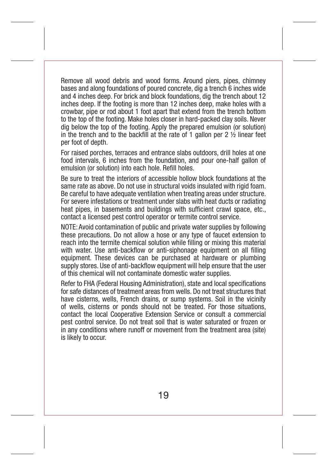Remove all wood debris and wood forms. Around piers, pipes, chimney bases and along foundations of poured concrete, dig a trench 6 inches wide and 4 inches deep. For brick and block foundations, dig the trench about 12 inches deep. If the footing is more than 12 inches deep, make holes with a crowbar, pipe or rod about 1 foot apart that extend from the trench bottom to the top of the footing. Make holes closer in hard-packed clay soils. Never dig below the top of the footing. Apply the prepared emulsion (or solution) in the trench and to the backfill at the rate of 1 gallon per 2  $\frac{1}{2}$  linear feet per foot of depth.

For raised porches, terraces and entrance slabs outdoors, drill holes at one food intervals, 6 inches from the foundation, and pour one-half gallon of emulsion (or solution) into each hole. Refill holes.

Be sure to treat the interiors of accessible hollow block foundations at the same rate as above. Do not use in structural voids insulated with rigid foam. Be careful to have adequate ventilation when treating areas under structure. For severe infestations or treatment under slabs with heat ducts or radiating heat pipes, in basements and buildings with sufficient crawl space, etc., contact a licensed pest control operator or termite control service.

NOTE: Avoid contamination of public and private water supplies by following these precautions. Do not allow a hose or any type of faucet extension to reach into the termite chemical solution while filling or mixing this material with water. Use anti-backflow or anti-siphonage equipment on all filling equipment. These devices can be purchased at hardware or plumbing supply stores. Use of anti-backflow equipment will help ensure that the user of this chemical will not contaminate domestic water supplies.

Refer to FHA (Federal Housing Administration), state and local specifications for safe distances of treatment areas from wells. Do not treat structures that have cisterns, wells, French drains, or sump systems. Soil in the vicinity of wells, cisterns or ponds should not be treated. For those situations, contact the local Cooperative Extension Service or consult a commercial pest control service. Do not treat soil that is water saturated or frozen or in any conditions where runoff or movement from the treatment area (site) is likely to occur.